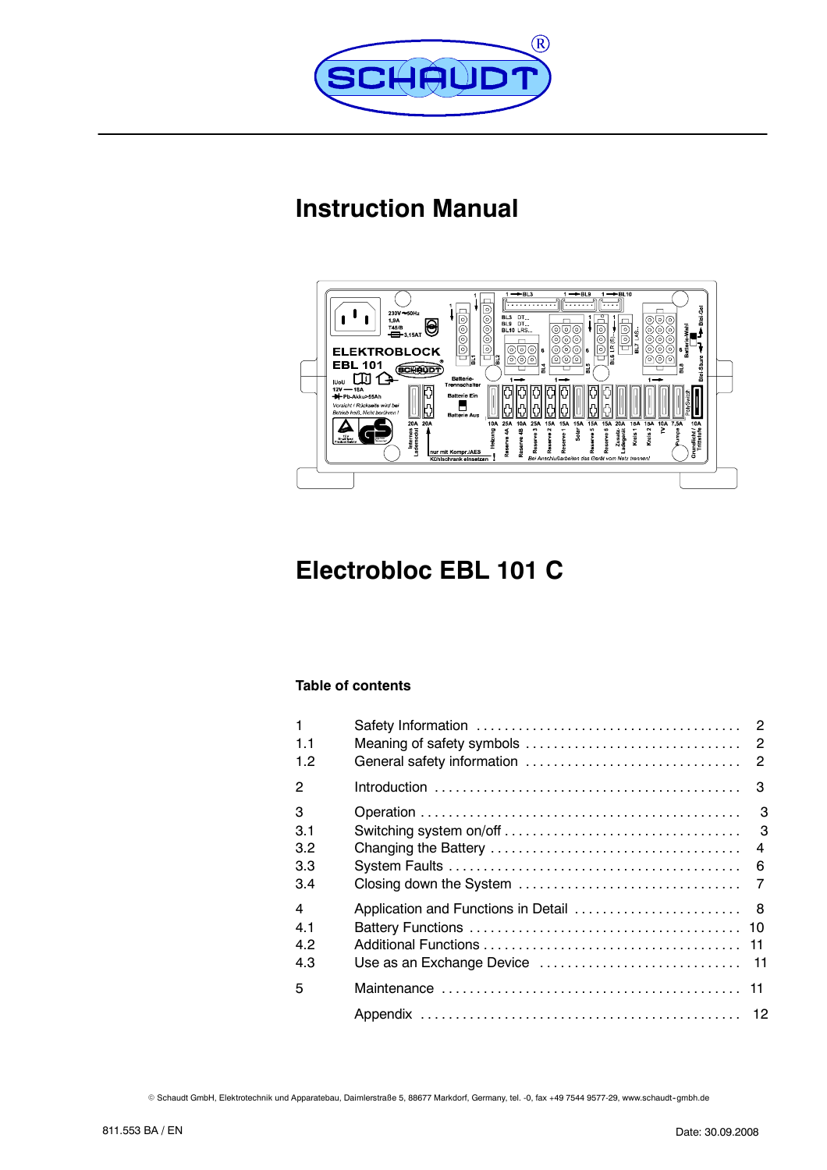

# **Instruction Manual**



# **Electrobloc EBL 101 C**

# **Table of contents**

| 1<br>1.1<br>1.2              | General safety information          | $\overline{2}$                                  |
|------------------------------|-------------------------------------|-------------------------------------------------|
| 2                            |                                     | 3                                               |
| 3<br>3.1<br>3.2<br>33<br>3.4 | Closing down the System             | 3<br>3<br>$\overline{4}$<br>6<br>$\overline{7}$ |
| 4<br>4.1<br>4.2<br>4.3       | Application and Functions in Detail | - 8                                             |
| 5                            |                                     |                                                 |
|                              |                                     |                                                 |

© Schaudt GmbH, Elektrotechnik und Apparatebau, Daimlerstraße 5, 88677 Markdorf, Germany, tel. -0, fax +49 7544 9577-29, www.schaudt-gmbh.de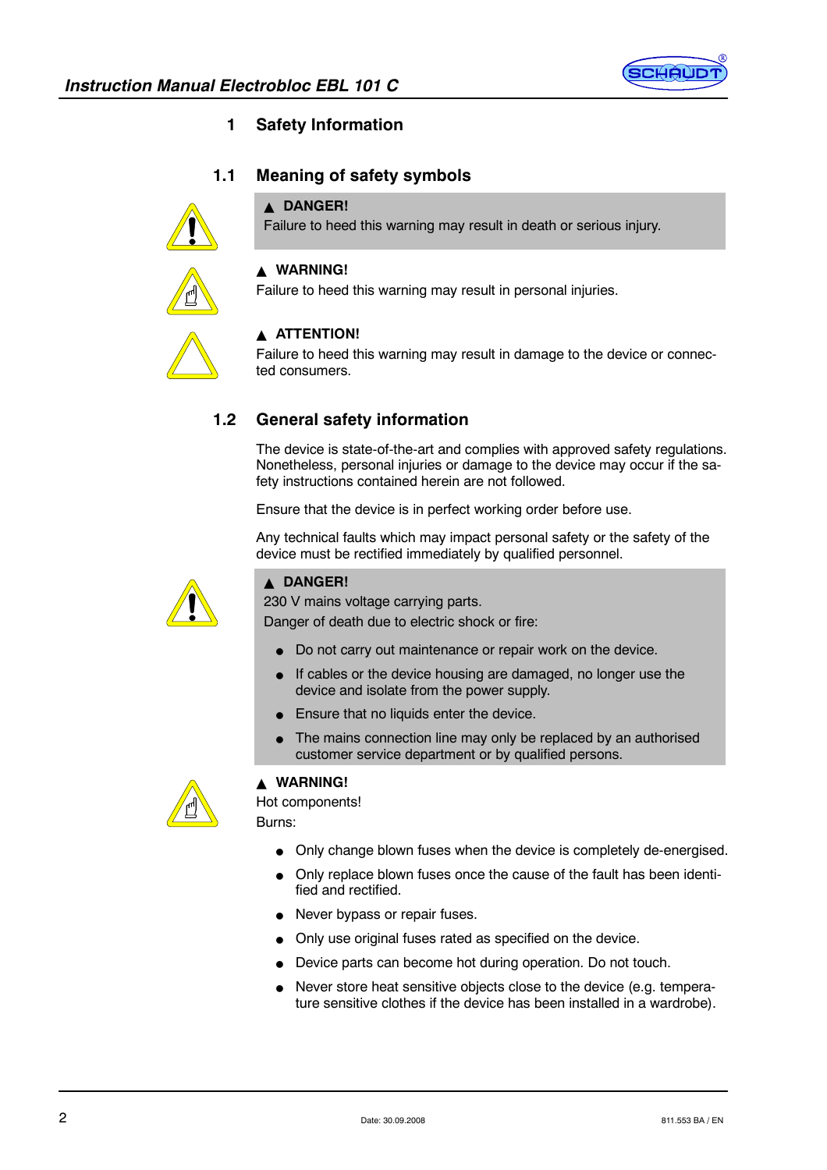

# **1 Safety Information**

# **1.1 Meaning of safety symbols**

# **A DANGER!**

Failure to heed this warning may result in death or serious injury.



# $\triangle$  **WARNING!**

Failure to heed this warning may result in personal injuries.



#### **A** ATTENTION!

Failure to heed this warning may result in damage to the device or connected consumers.

# **1.2 General safety information**

The device is state-of-the-art and complies with approved safety regulations. Nonetheless, personal injuries or damage to the device may occur if the safety instructions contained herein are not followed.

Ensure that the device is in perfect working order before use.

Any technical faults which may impact personal safety or the safety of the device must be rectified immediately by qualified personnel.



#### Y **DANGER!**

230 V mains voltage carrying parts.

Danger of death due to electric shock or fire:

- Do not carry out maintenance or repair work on the device.
- If cables or the device housing are damaged, no longer use the device and isolate from the power supply.
- Ensure that no liquids enter the device.
- The mains connection line may only be replaced by an authorised customer service department or by qualified persons.



# Y **WARNING!**

Hot components! Burns:

- Only change blown fuses when the device is completely de-energised.
- Only replace blown fuses once the cause of the fault has been identified and rectified.
- Never bypass or repair fuses.
- Only use original fuses rated as specified on the device.
- Device parts can become hot during operation. Do not touch.
- Never store heat sensitive objects close to the device (e.g. temperature sensitive clothes if the device has been installed in a wardrobe).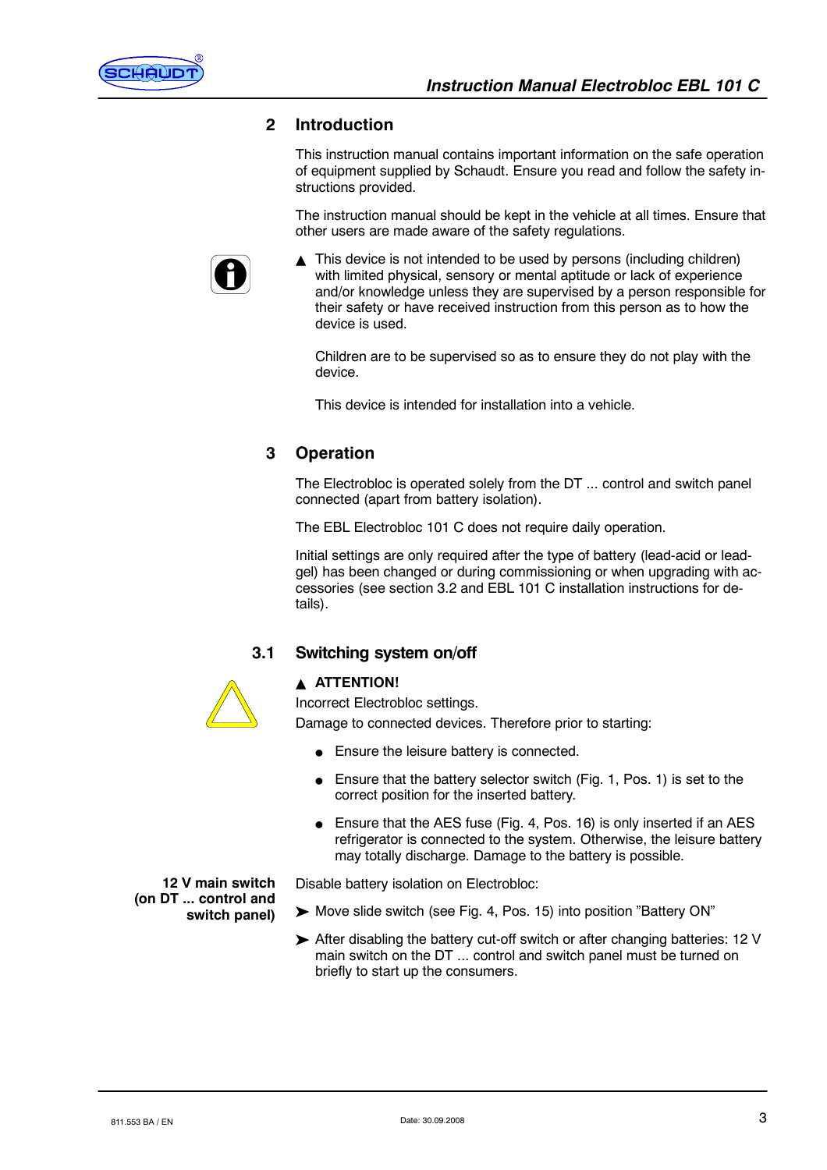

#### **2 Introduction**

This instruction manual contains important information on the safe operation of equipment supplied by Schaudt. Ensure you read and follow the safety instructions provided.

The instruction manual should be kept in the vehicle at all times. Ensure that other users are made aware of the safety regulations.



 $\blacktriangle$  This device is not intended to be used by persons (including children) with limited physical, sensory or mental aptitude or lack of experience and/or knowledge unless they are supervised by a person responsible for their safety or have received instruction from this person as to how the device is used.

Children are to be supervised so as to ensure they do not play with the device.

This device is intended for installation into a vehicle.

# **3 Operation**

The Electrobloc is operated solely from the DT ... control and switch panel connected (apart from battery isolation).

The EBL Electrobloc 101 C does not require daily operation.

Initial settings are only required after the type of battery (lead-acid or leadgel) has been changed or during commissioning or when upgrading with accessories (see section 3.2 and EBL 101 C installation instructions for details).

#### **3.1 Switching system on/off**



**12 V main switch (on DT ... control and**

**switch panel)**

**A ATTENTION!** 

Incorrect Electrobloc settings.

Damage to connected devices. Therefore prior to starting:

- Ensure the leisure battery is connected.
- Ensure that the battery selector switch (Fig. 1, Pos. 1) is set to the correct position for the inserted battery.
- $\bullet$  Ensure that the AES fuse (Fig. 4, Pos. 16) is only inserted if an AES refrigerator is connected to the system. Otherwise, the leisure battery may totally discharge. Damage to the battery is possible.

Disable battery isolation on Electrobloc:

- ▶ Move slide switch (see Fig. 4, Pos. 15) into position "Battery ON"
- $\triangleright$  After disabling the battery cut-off switch or after changing batteries: 12 V main switch on the DT ... control and switch panel must be turned on briefly to start up the consumers.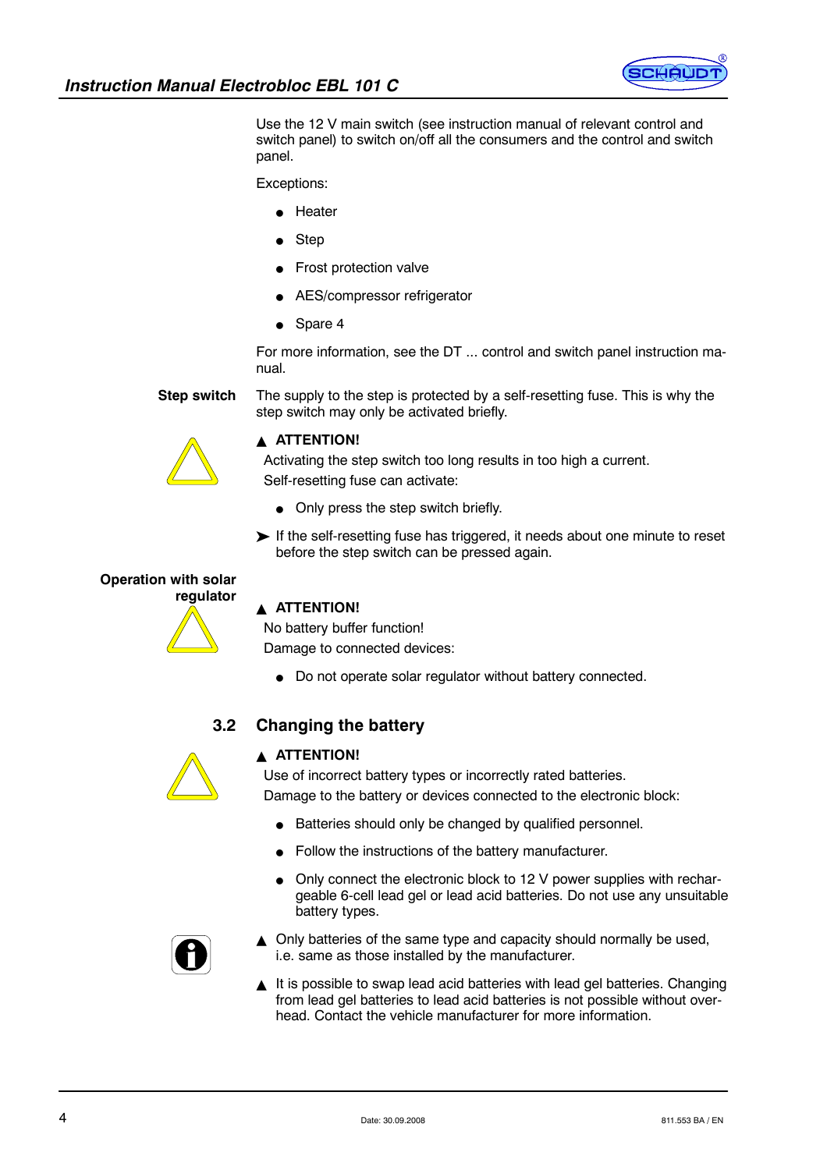

Use the 12 V main switch (see instruction manual of relevant control and switch panel) to switch on/off all the consumers and the control and switch panel.

Exceptions:

- $\bullet$  Heater
- Step
- Frost protection valve
- AES/compressor refrigerator
- $\bullet$  Spare 4

For more information, see the DT ... control and switch panel instruction manual.

**Step switch**

The supply to the step is protected by a self-resetting fuse. This is why the step switch may only be activated briefly.



#### **A ATTENTION!**

Activating the step switch too long results in too high a current.

Self-resetting fuse can activate:

- $\bullet$  Only press the step switch briefly.
- If the self-resetting fuse has triggered, it needs about one minute to reset before the step switch can be pressed again.

# **Operation with solar**



# **A ATTENTION!**

No battery buffer function! Damage to connected devices:

• Do not operate solar regulator without battery connected.

# **3.2 Changing the battery**



#### **A ATTENTION!**

Use of incorrect battery types or incorrectly rated batteries. Damage to the battery or devices connected to the electronic block:

- Batteries should only be changed by qualified personnel.
- Follow the instructions of the battery manufacturer.
- Only connect the electronic block to 12 V power supplies with rechargeable 6-cell lead gel or lead acid batteries. Do not use any unsuitable battery types.



- $\triangle$  Only batteries of the same type and capacity should normally be used, i.e. same as those installed by the manufacturer.
- It is possible to swap lead acid batteries with lead gel batteries. Changing from lead gel batteries to lead acid batteries is not possible without overhead. Contact the vehicle manufacturer for more information.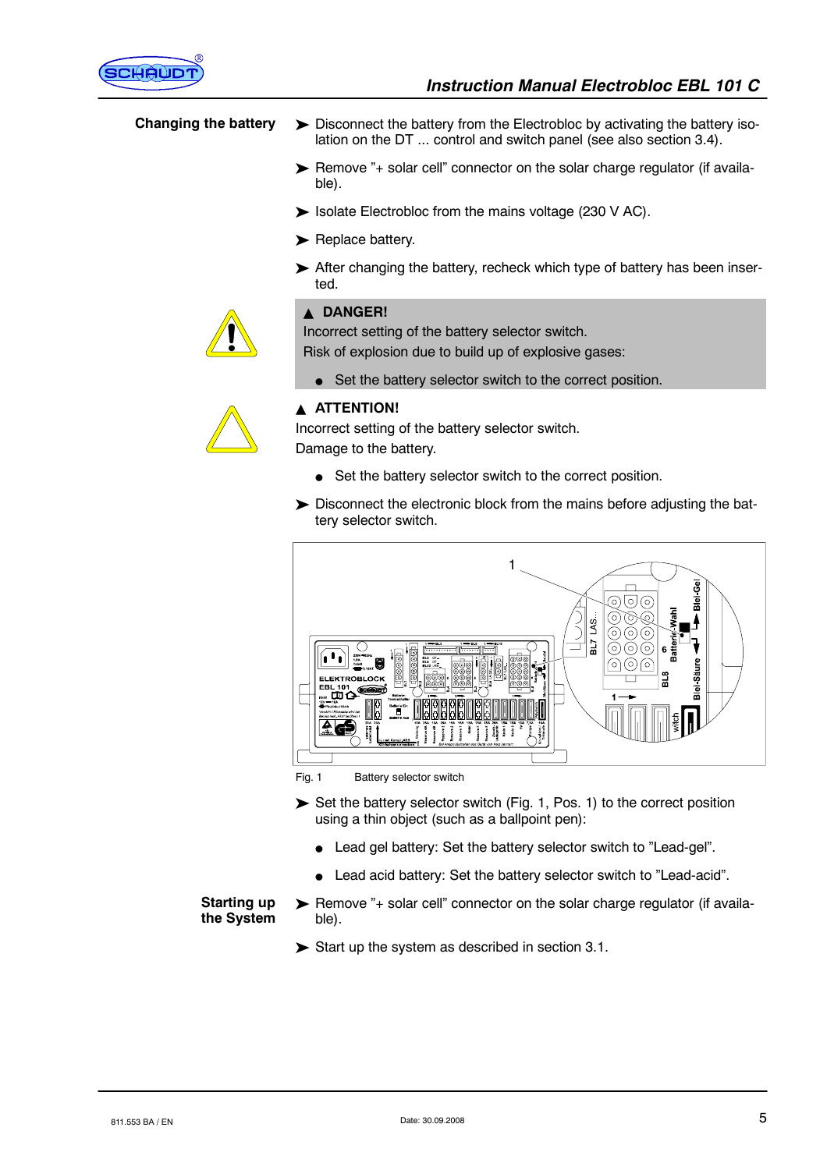

# **Changing the battery**

- $\triangleright$  Disconnect the battery from the Electrobloc by activating the battery isolation on the DT ... control and switch panel (see also section 3.4).
- ▶ Remove "+ solar cell" connector on the solar charge regulator (if available).
- Solate Electrobloc from the mains voltage (230 V AC).
- $\blacktriangleright$  Replace battery.
- $\triangleright$  After changing the battery, recheck which type of battery has been inserted.

#### **A DANGER!**

Incorrect setting of the battery selector switch.

Risk of explosion due to build up of explosive gases:

• Set the battery selector switch to the correct position.



#### **A ATTENTION!**

Incorrect setting of the battery selector switch. Damage to the battery.

- $\bullet$  Set the battery selector switch to the correct position.
- > Disconnect the electronic block from the mains before adjusting the battery selector switch.



Fig. 1 Battery selector switch

- $\triangleright$  Set the battery selector switch (Fig. 1, Pos. 1) to the correct position using a thin object (such as a ballpoint pen):
	- Lead gel battery: Set the battery selector switch to "Lead-gel".
	- Lead acid battery: Set the battery selector switch to "Lead-acid".

#### **Starting up the System**

- > Remove "+ solar cell" connector on the solar charge regulator (if available).
- $\triangleright$  Start up the system as described in section 3.1.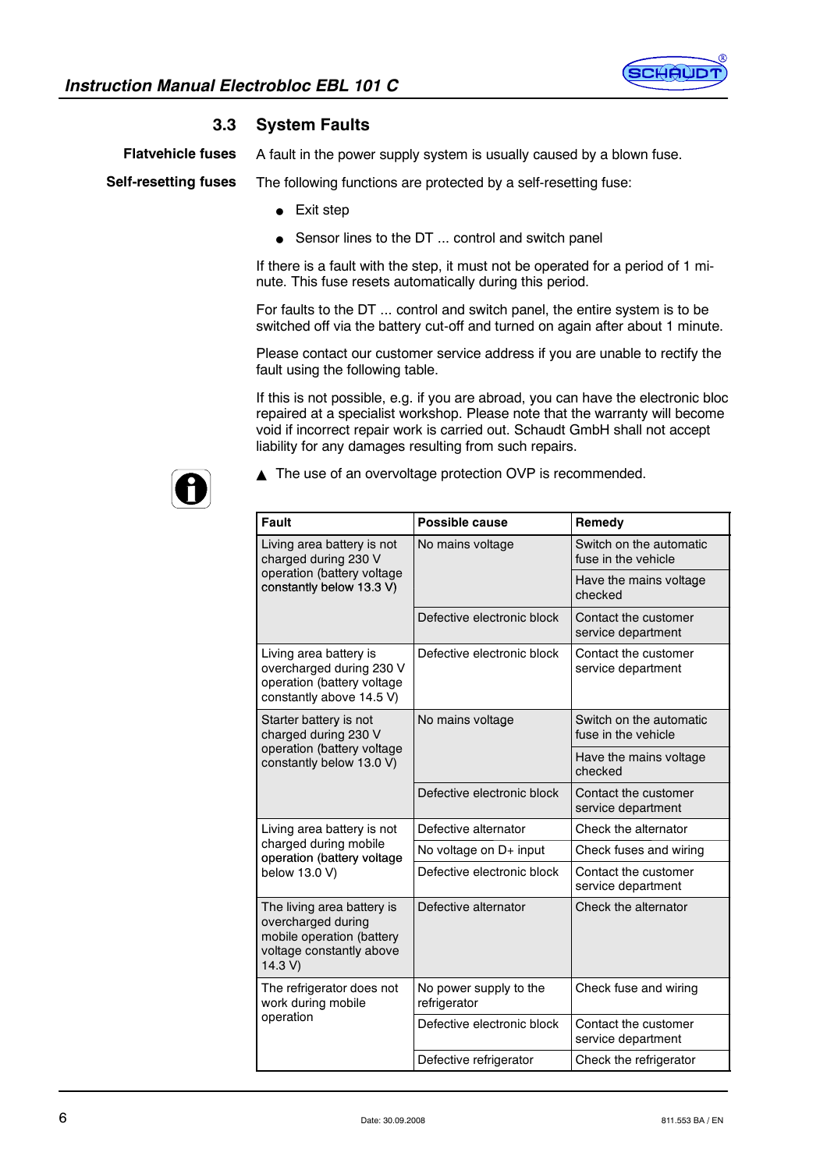

# **3.3 System Faults**

**Flatvehicle fuses**

A fault in the power supply system is usually caused by a blown fuse.

The following functions are protected by a self-resetting fuse: **Self-resetting fuses**

- $\bullet$  Exit step
- Sensor lines to the DT ... control and switch panel

If there is a fault with the step, it must not be operated for a period of 1 minute. This fuse resets automatically during this period.

For faults to the DT ... control and switch panel, the entire system is to be switched off via the battery cut-off and turned on again after about 1 minute.

Please contact our customer service address if you are unable to rectify the fault using the following table.

If this is not possible, e.g. if you are abroad, you can have the electronic bloc repaired at a specialist workshop. Please note that the warranty will become void if incorrect repair work is carried out. Schaudt GmbH shall not accept liability for any damages resulting from such repairs.



▲ The use of an overvoltage protection OVP is recommended.

| Fault                                                                                                                | Possible cause                         | Remedy                                         |
|----------------------------------------------------------------------------------------------------------------------|----------------------------------------|------------------------------------------------|
| Living area battery is not<br>charged during 230 V                                                                   | No mains voltage                       | Switch on the automatic<br>fuse in the vehicle |
| operation (battery voltage<br>constantly below 13.3 V)                                                               |                                        | Have the mains voltage<br>checked              |
|                                                                                                                      | Defective electronic block             | Contact the customer<br>service department     |
| Living area battery is<br>overcharged during 230 V<br>operation (battery voltage<br>constantly above 14.5 V)         | Defective electronic block             | Contact the customer<br>service department     |
| Starter battery is not<br>charged during 230 V                                                                       | No mains voltage                       | Switch on the automatic<br>fuse in the vehicle |
| operation (battery voltage<br>constantly below 13.0 V)                                                               |                                        | Have the mains voltage<br>checked              |
|                                                                                                                      | Defective electronic block             | Contact the customer<br>service department     |
| Living area battery is not                                                                                           | Defective alternator                   | Check the alternator                           |
| charged during mobile<br>operation (battery voltage                                                                  | No voltage on $D+$ input               | Check fuses and wiring                         |
| below 13.0 V)                                                                                                        | Defective electronic block             | Contact the customer<br>service department     |
| The living area battery is<br>overcharged during<br>mobile operation (battery<br>voltage constantly above<br>14.3 V) | Defective alternator                   | Check the alternator                           |
| The refrigerator does not<br>work during mobile                                                                      | No power supply to the<br>refrigerator | Check fuse and wiring                          |
| operation                                                                                                            | Defective electronic block             | Contact the customer<br>service department     |
|                                                                                                                      | Defective refrigerator                 | Check the refrigerator                         |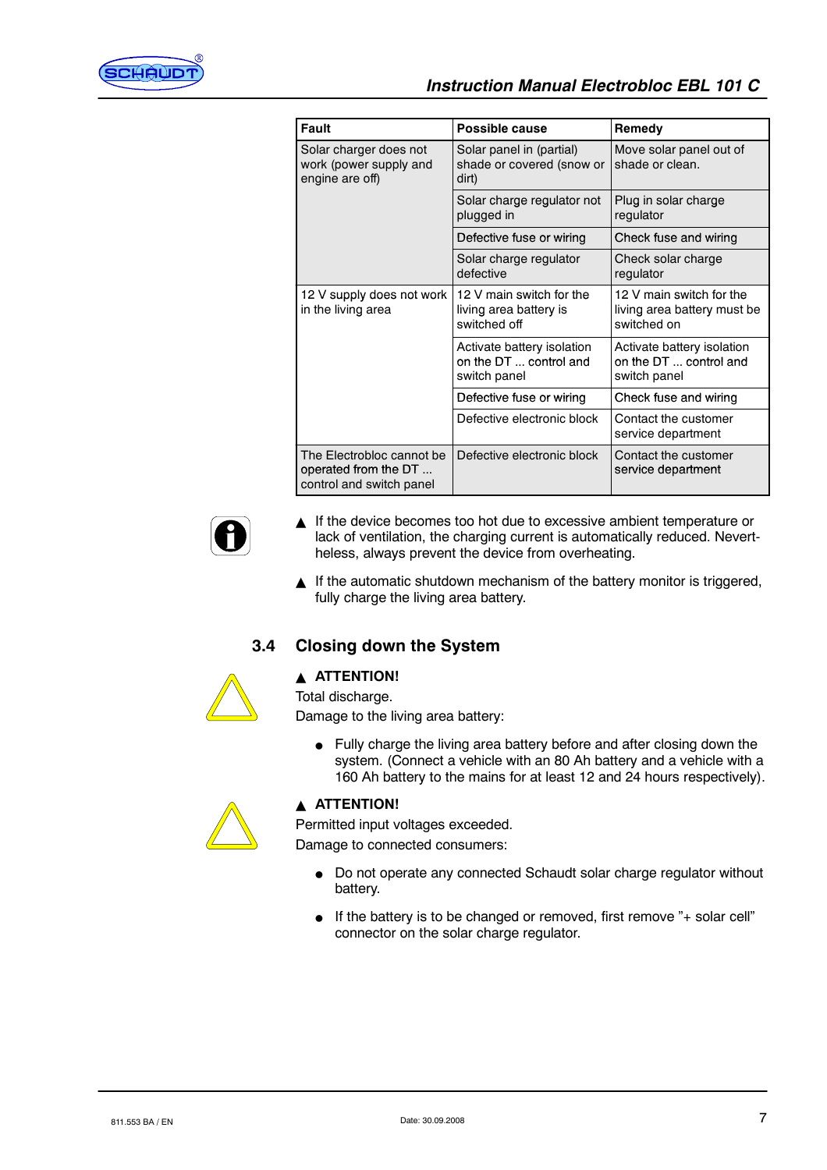

| <b>Fault</b>                                                                  | Possible cause                                                       | Remedy                                                                 |
|-------------------------------------------------------------------------------|----------------------------------------------------------------------|------------------------------------------------------------------------|
| Solar charger does not<br>work (power supply and<br>engine are off)           | Solar panel in (partial)<br>shade or covered (snow or<br>dirt)       | Move solar panel out of<br>shade or clean.                             |
|                                                                               | Solar charge regulator not<br>plugged in                             | Plug in solar charge<br>regulator                                      |
|                                                                               | Defective fuse or wiring                                             | Check fuse and wiring                                                  |
|                                                                               | Solar charge regulator<br>defective                                  | Check solar charge<br>regulator                                        |
| 12 V supply does not work<br>in the living area                               | 12 V main switch for the<br>living area battery is<br>switched off   | 12 V main switch for the<br>living area battery must be<br>switched on |
|                                                                               | Activate battery isolation<br>on the DT  control and<br>switch panel | Activate battery isolation<br>on the DT  control and<br>switch panel   |
|                                                                               | Defective fuse or wiring                                             | Check fuse and wiring                                                  |
|                                                                               | Defective electronic block                                           | Contact the customer<br>service department                             |
| The Flectrobloc cannot be<br>operated from the DT<br>control and switch panel | Defective electronic block                                           | Contact the customer<br>service department                             |



- $\blacktriangle$  If the device becomes too hot due to excessive ambient temperature or lack of ventilation, the charging current is automatically reduced. Nevertheless, always prevent the device from overheating.
- If the automatic shutdown mechanism of the battery monitor is triggered, fully charge the living area battery.

# **3.4 Closing down the System**



# **A** ATTENTION!

Total discharge.

Damage to the living area battery:

• Fully charge the living area battery before and after closing down the system. (Connect a vehicle with an 80 Ah battery and a vehicle with a 160 Ah battery to the mains for at least 12 and 24 hours respectively).



# **A** ATTENTION!

Permitted input voltages exceeded.

Damage to connected consumers:

- Do not operate any connected Schaudt solar charge regulator without battery.
- If the battery is to be changed or removed, first remove "+ solar cell" connector on the solar charge regulator.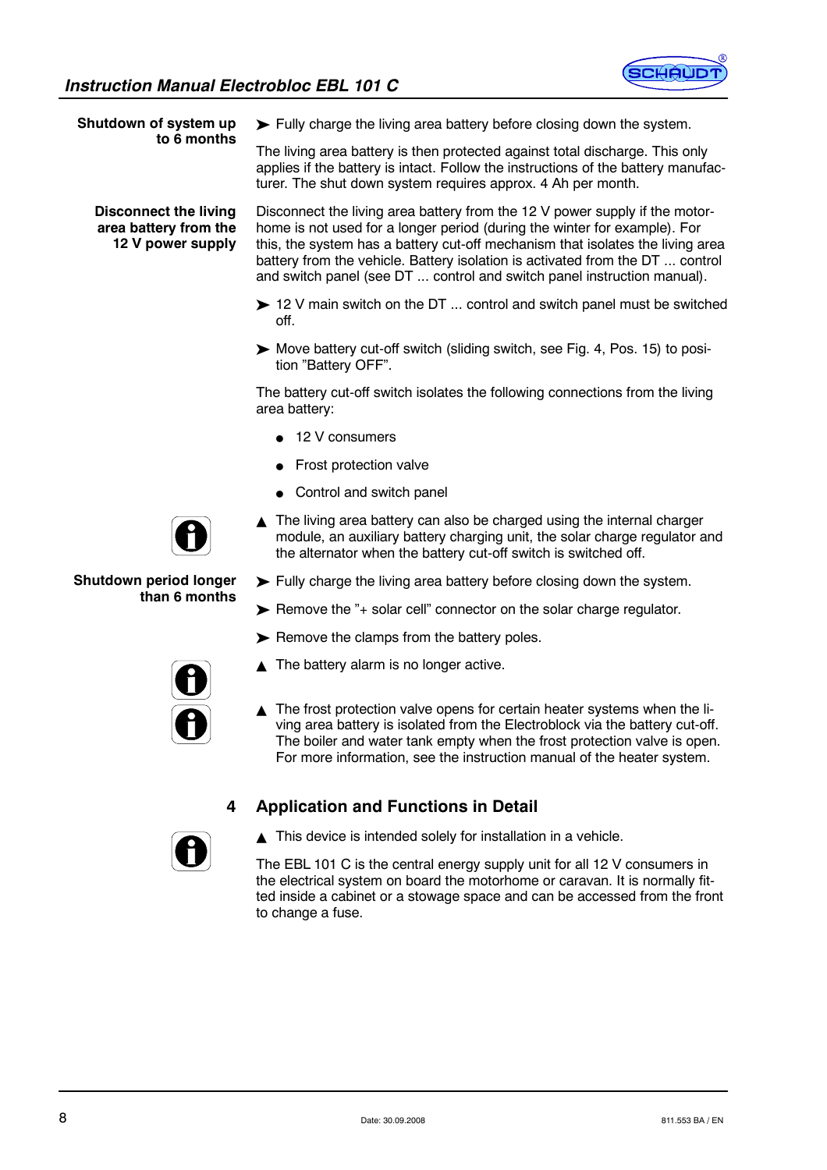

**Shutdown of system up to 6 months**

> **Disconnect the living area battery from the 12 V power supply**

 $\blacktriangleright$  Fully charge the living area battery before closing down the system.

The living area battery is then protected against total discharge. This only applies if the battery is intact. Follow the instructions of the battery manufacturer. The shut down system requires approx. 4 Ah per month.

Disconnect the living area battery from the 12 V power supply if the motorhome is not used for a longer period (during the winter for example). For this, the system has a battery cut-off mechanism that isolates the living area battery from the vehicle. Battery isolation is activated from the DT ... control and switch panel (see DT ... control and switch panel instruction manual).

- $\triangleright$  12 V main switch on the DT ... control and switch panel must be switched off.
- ³ Move battery cut-off switch (sliding switch, see Fig. 4, Pos. 15) to position "Battery OFF".

The battery cut-off switch isolates the following connections from the living area battery:

- $\blacksquare$  12 V consumers
- $\bullet$  Frost protection valve
- $\bullet$  Control and switch panel
- $\triangle$  The living area battery can also be charged using the internal charger module, an auxiliary battery charging unit, the solar charge regulator and the alternator when the battery cut-off switch is switched off.
- $\blacktriangleright$  Fully charge the living area battery before closing down the system.
- $\triangleright$  Remove the "+ solar cell" connector on the solar charge regulator.
- $\blacktriangleright$  Remove the clamps from the battery poles.
- The battery alarm is no longer active.
- $\triangle$  The frost protection valve opens for certain heater systems when the living area battery is isolated from the Electroblock via the battery cut-off. The boiler and water tank empty when the frost protection valve is open. For more information, see the instruction manual of the heater system.

# **4 Application and Functions in Detail**



 $\blacktriangle$  This device is intended solely for installation in a vehicle.

The EBL 101 C is the central energy supply unit for all 12 V consumers in the electrical system on board the motorhome or caravan. It is normally fitted inside a cabinet or a stowage space and can be accessed from the front to change a fuse.



#### **Shutdown period longer than 6 months**

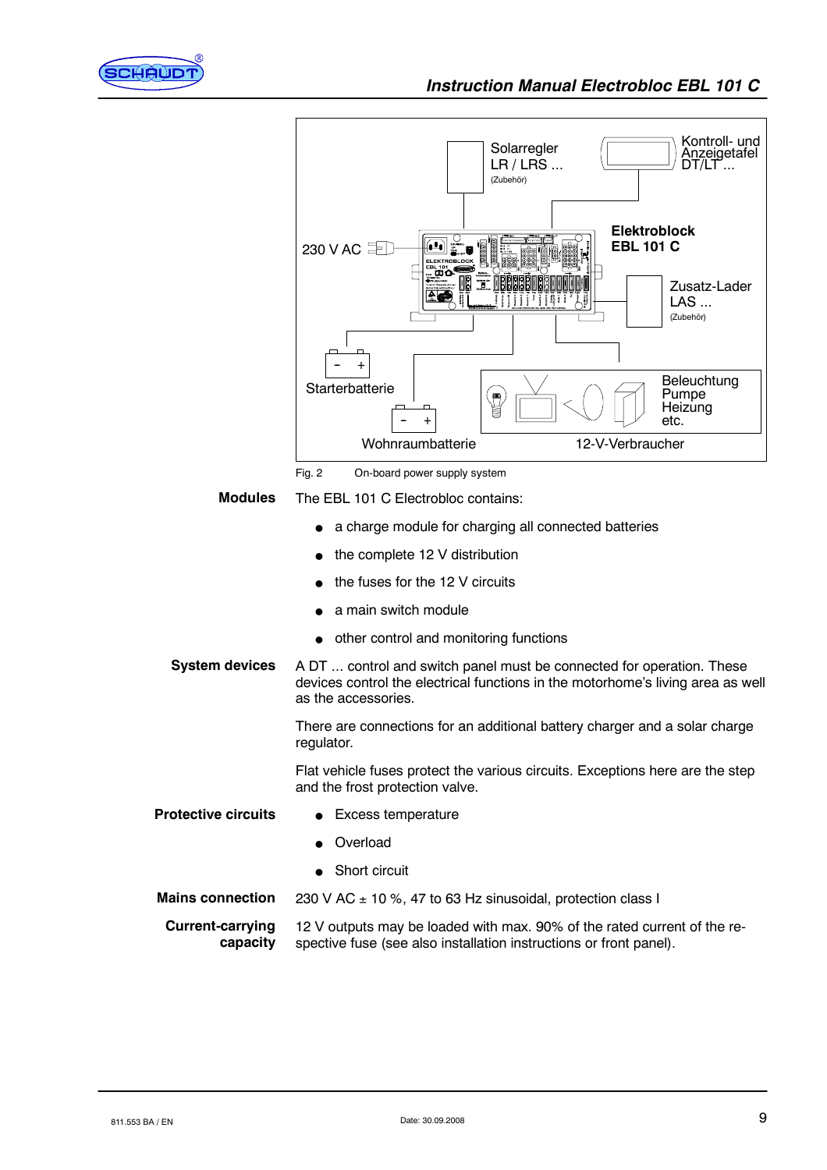



Fig. 2 On-board power supply system

The EBL 101 C Electrobloc contains: **Modules**

- a charge module for charging all connected batteries
- the complete 12 V distribution
- the fuses for the 12 V circuits
- a main switch module
- other control and monitoring functions
- A DT ... control and switch panel must be connected for operation. These devices control the electrical functions in the motorhome's living area as well as the accessories. **System devices**

There are connections for an additional battery charger and a solar charge regulator.

Flat vehicle fuses protect the various circuits. Exceptions here are the step and the frost protection valve.

- $\bullet$  Excess temperature **Protective circuits**
	- Overload
	- $\bullet$  Short circuit
- 230 V AC  $\pm$  10 %, 47 to 63 Hz sinusoidal, protection class I **Mains connection**
- 12 V outputs may be loaded with max. 90% of the rated current of the respective fuse (see also installation instructions or front panel). **Current-carrying capacity**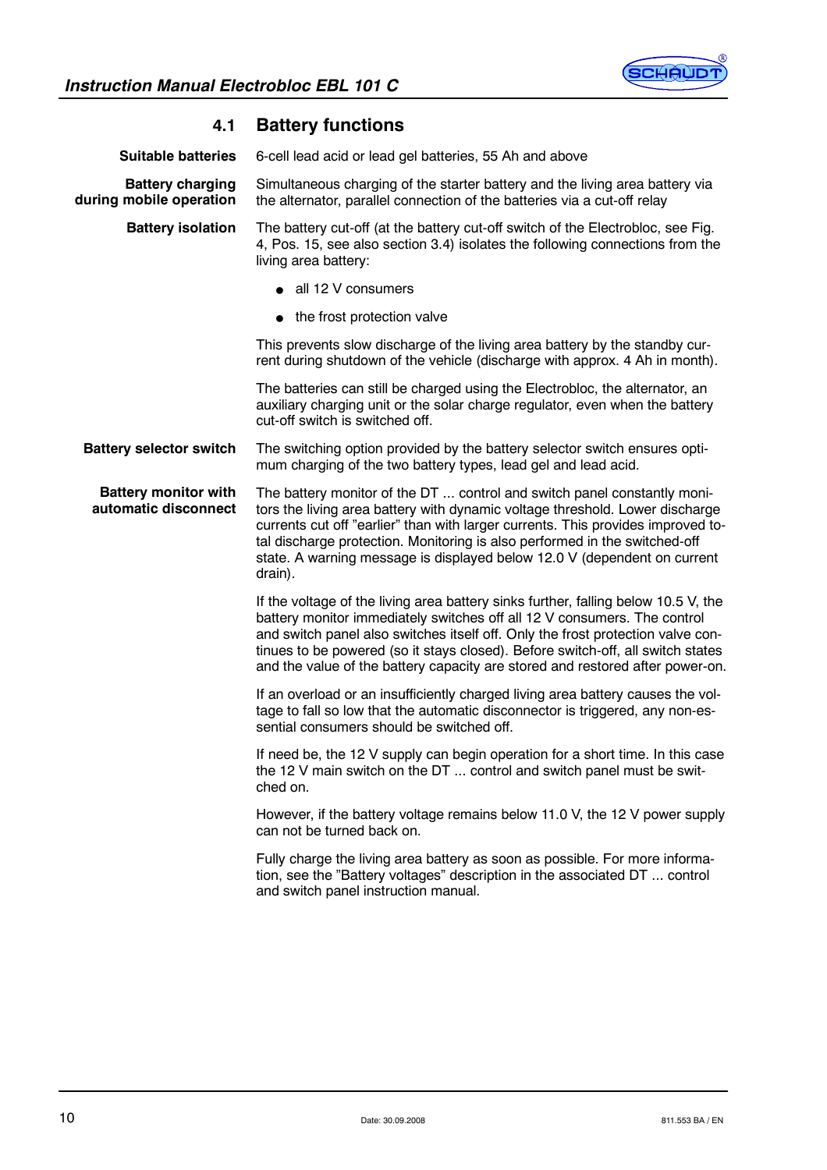

| 4.1                                                 | <b>Battery functions</b>                                                                                                                                                                                                                                                                                                                                                                                              |
|-----------------------------------------------------|-----------------------------------------------------------------------------------------------------------------------------------------------------------------------------------------------------------------------------------------------------------------------------------------------------------------------------------------------------------------------------------------------------------------------|
| <b>Suitable batteries</b>                           | 6-cell lead acid or lead gel batteries, 55 Ah and above                                                                                                                                                                                                                                                                                                                                                               |
| <b>Battery charging</b><br>during mobile operation  | Simultaneous charging of the starter battery and the living area battery via<br>the alternator, parallel connection of the batteries via a cut-off relay                                                                                                                                                                                                                                                              |
| <b>Battery isolation</b>                            | The battery cut-off (at the battery cut-off switch of the Electrobloc, see Fig.<br>4, Pos. 15, see also section 3.4) isolates the following connections from the<br>living area battery:                                                                                                                                                                                                                              |
|                                                     | $\bullet$ all 12 V consumers                                                                                                                                                                                                                                                                                                                                                                                          |
|                                                     | • the frost protection valve                                                                                                                                                                                                                                                                                                                                                                                          |
|                                                     | This prevents slow discharge of the living area battery by the standby cur-<br>rent during shutdown of the vehicle (discharge with approx. 4 Ah in month).                                                                                                                                                                                                                                                            |
|                                                     | The batteries can still be charged using the Electrobloc, the alternator, an<br>auxiliary charging unit or the solar charge regulator, even when the battery<br>cut-off switch is switched off.                                                                                                                                                                                                                       |
| <b>Battery selector switch</b>                      | The switching option provided by the battery selector switch ensures opti-<br>mum charging of the two battery types, lead gel and lead acid.                                                                                                                                                                                                                                                                          |
| <b>Battery monitor with</b><br>automatic disconnect | The battery monitor of the DT  control and switch panel constantly moni-<br>tors the living area battery with dynamic voltage threshold. Lower discharge<br>currents cut off "earlier" than with larger currents. This provides improved to-<br>tal discharge protection. Monitoring is also performed in the switched-off<br>state. A warning message is displayed below 12.0 V (dependent on current<br>drain).     |
|                                                     | If the voltage of the living area battery sinks further, falling below 10.5 V, the<br>battery monitor immediately switches off all 12 V consumers. The control<br>and switch panel also switches itself off. Only the frost protection valve con-<br>tinues to be powered (so it stays closed). Before switch-off, all switch states<br>and the value of the battery capacity are stored and restored after power-on. |
|                                                     | If an overload or an insufficiently charged living area battery causes the vol-<br>tage to fall so low that the automatic disconnector is triggered, any non-es-<br>sential consumers should be switched off.                                                                                                                                                                                                         |
|                                                     | If need be, the 12 V supply can begin operation for a short time. In this case<br>the 12 V main switch on the DT  control and switch panel must be swit-<br>ched on.                                                                                                                                                                                                                                                  |
|                                                     | However, if the battery voltage remains below 11.0 V, the 12 V power supply<br>can not be turned back on.                                                                                                                                                                                                                                                                                                             |
|                                                     | Fully charge the living area battery as soon as possible. For more informa-<br>tion, see the "Battery voltages" description in the associated DT  control<br>and switch panel instruction manual.                                                                                                                                                                                                                     |
|                                                     |                                                                                                                                                                                                                                                                                                                                                                                                                       |

# **4.1 Battery functions**

10 Date: 30.09.2008 Date: 30.09.2008 Date: 30.09.2008 811.553 BA / EN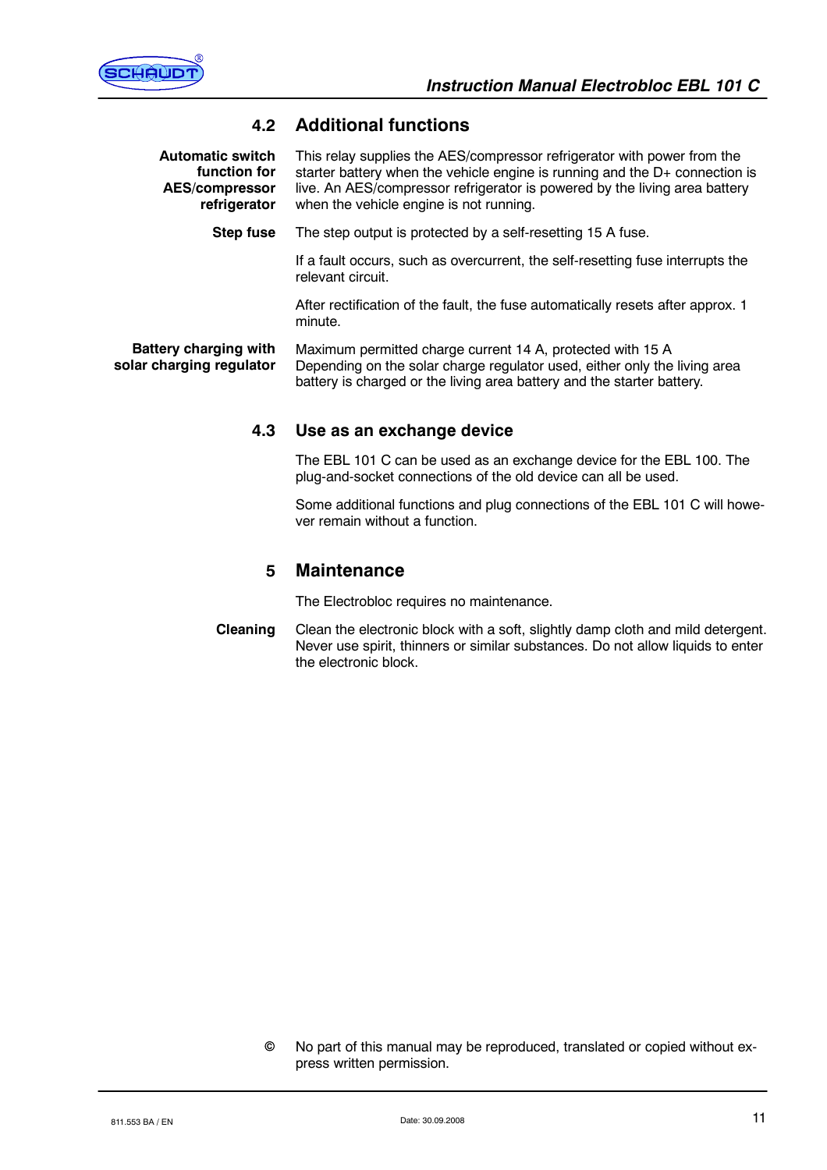

# **4.2 Additional functions**

| <b>Automatic switch</b><br>function for<br><b>AES/compressor</b><br>refrigerator | This relay supplies the AES/compressor refrigerator with power from the<br>starter battery when the vehicle engine is running and the D+ connection is<br>live. An AES/compressor refrigerator is powered by the living area battery<br>when the vehicle engine is not running. |
|----------------------------------------------------------------------------------|---------------------------------------------------------------------------------------------------------------------------------------------------------------------------------------------------------------------------------------------------------------------------------|
| <b>Step fuse</b>                                                                 | The step output is protected by a self-resetting 15 A fuse.                                                                                                                                                                                                                     |
|                                                                                  | If a fault occurs, such as overcurrent, the self-resetting fuse interrupts the<br>relevant circuit.                                                                                                                                                                             |

After rectification of the fault, the fuse automatically resets after approx. 1 minute.

Maximum permitted charge current 14 A, protected with 15 A Depending on the solar charge regulator used, either only the living area battery is charged or the living area battery and the starter battery. **Battery charging with solar charging regulator**

### **4.3 Use as an exchange device**

The EBL 101 C can be used as an exchange device for the EBL 100. The plug-and-socket connections of the old device can all be used.

Some additional functions and plug connections of the EBL 101 C will however remain without a function.

### **5 Maintenance**

The Electrobloc requires no maintenance.

Clean the electronic block with a soft, slightly damp cloth and mild detergent. Never use spirit, thinners or similar substances. Do not allow liquids to enter the electronic block. **Cleaning**

No part of this manual may be reproduced, translated or copied without express written permission.  $\odot$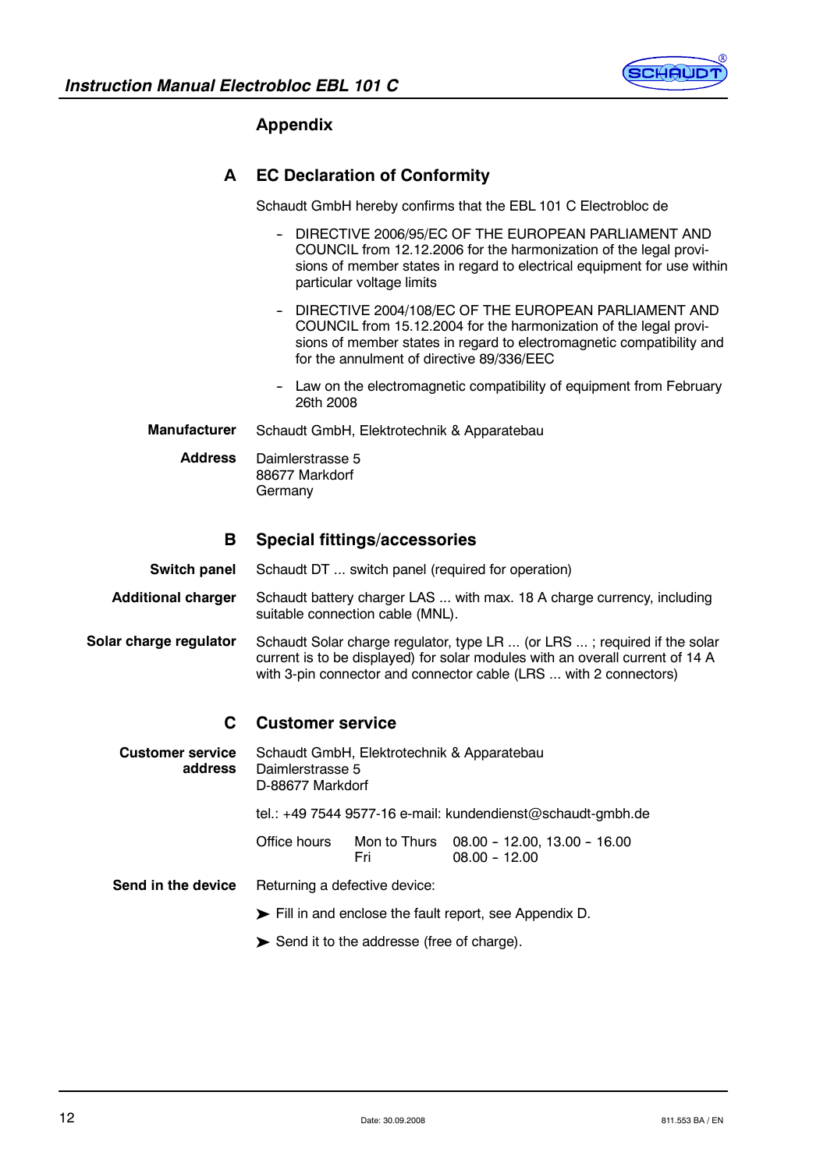

# **Appendix**

# **A EC Declaration of Conformity**

Schaudt GmbH hereby confirms that the EBL 101 C Electrobloc de

- DIRECTIVE 2006/95/EC OF THE EUROPEAN PARLIAMENT AND COUNCIL from 12.12.2006 for the harmonization of the legal provisions of member states in regard to electrical equipment for use within particular voltage limits
- DIRECTIVE 2004/108/EC OF THE EUROPEAN PARLIAMENT AND COUNCIL from 15.12.2004 for the harmonization of the legal provisions of member states in regard to electromagnetic compatibility and for the annulment of directive 89/336/EEC
- Law on the electromagnetic compatibility of equipment from February 26th 2008
- Schaudt GmbH, Elektrotechnik & Apparatebau **Manufacturer**

Daimlerstrasse 5 88677 Markdorf Germany **Address**

#### **B Special fittings/accessories**

Schaudt DT ... switch panel (required for operation) **Switch panel**

Schaudt battery charger LAS ... with max. 18 A charge currency, including suitable connection cable (MNL). **Additional charger**

Schaudt Solar charge regulator, type LR ... (or LRS ... ; required if the solar current is to be displayed) for solar modules with an overall current of 14 A with 3-pin connector and connector cable (LRS ... with 2 connectors) **Solar charge regulator**

# **C Customer service**

Schaudt GmbH, Elektrotechnik & Apparatebau Daimlerstrasse 5 D-88677 Markdorf tel.: +49 7544 9577-16 e-mail: kundendienst@schaudt-gmbh.de Office hours Mon to Thurs 08.00 -- 12.00, 13.00 -- 16.00 Fri 08.00 - 12.00 Returning a defective device: ³ Fill in and enclose the fault report, see Appendix D. **Customer service address Send in the device**

 $\blacktriangleright$  Send it to the addresse (free of charge).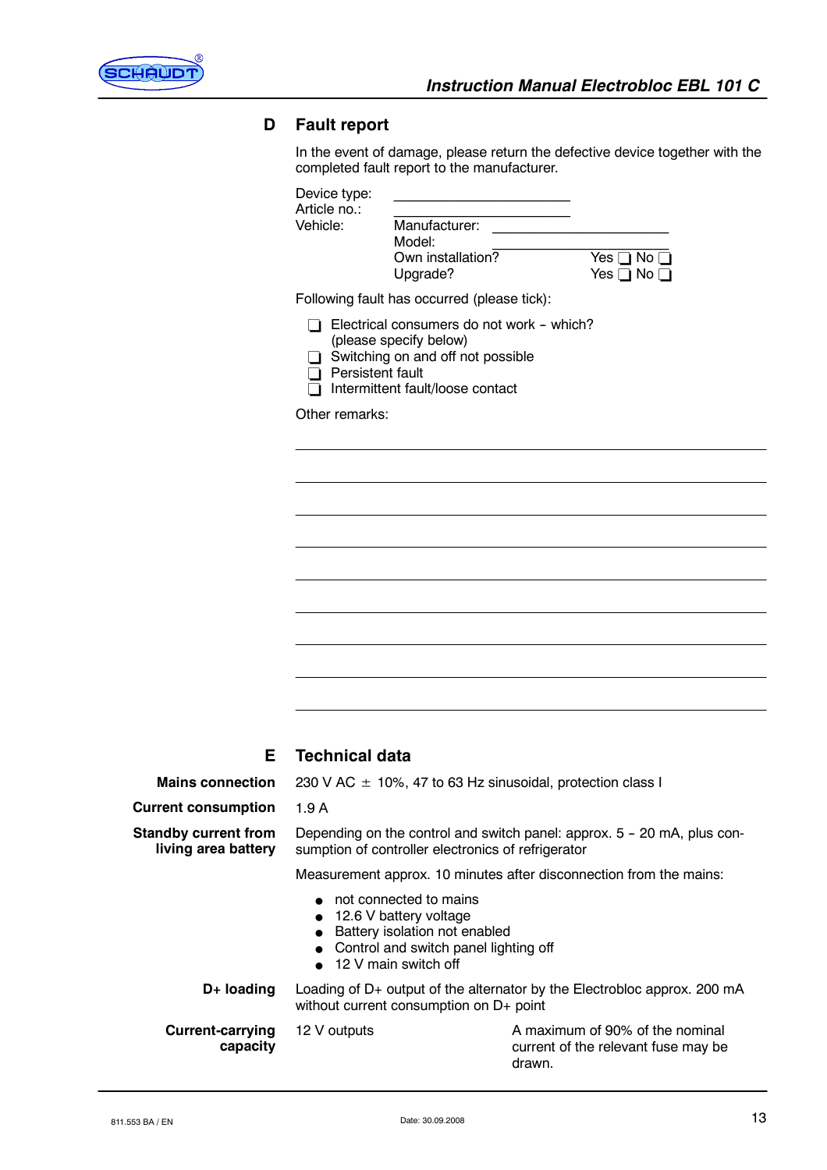

# **D Fault report**

In the event of damage, please return the defective device together with the completed fault report to the manufacturer.

| Device type:<br>Article no.:       |                                                                                                                                              |                                 |
|------------------------------------|----------------------------------------------------------------------------------------------------------------------------------------------|---------------------------------|
| Vehicle:                           | Manufacturer:<br>Model:<br>Own installation?<br>Upgrade?                                                                                     | Yes  <br>No.<br>Yes [<br>] No [ |
|                                    | Following fault has occurred (please tick):                                                                                                  |                                 |
| Persistent fault<br>Other remarks: | Electrical consumers do not work - which?<br>(please specify below)<br>Switching on and off not possible<br>Intermittent fault/loose contact |                                 |
|                                    |                                                                                                                                              |                                 |
|                                    |                                                                                                                                              |                                 |
|                                    |                                                                                                                                              |                                 |
|                                    |                                                                                                                                              |                                 |
|                                    |                                                                                                                                              |                                 |
|                                    |                                                                                                                                              |                                 |

# **E Technical data**

1.9 A

**Mains connection**

230 V AC  $\pm$  10%, 47 to 63 Hz sinusoidal, protection class I

**Current consumption**

**Current-carrying**

**capacity**

**Standby current from living area battery**

Depending on the control and switch panel: approx. 5 - 20 mA, plus consumption of controller electronics of refrigerator

Measurement approx. 10 minutes after disconnection from the mains:

- $\bullet$  not connected to mains
- $\bullet$  12.6 V battery voltage
- Battery isolation not enabled
- Control and switch panel lighting off
- 12 V main switch off

Loading of D+ output of the alternator by the Electrobloc approx. 200 mA without current consumption on D+ point **D+ loading**

12 V outputs **A** maximum of 90% of the nominal current of the relevant fuse may be drawn.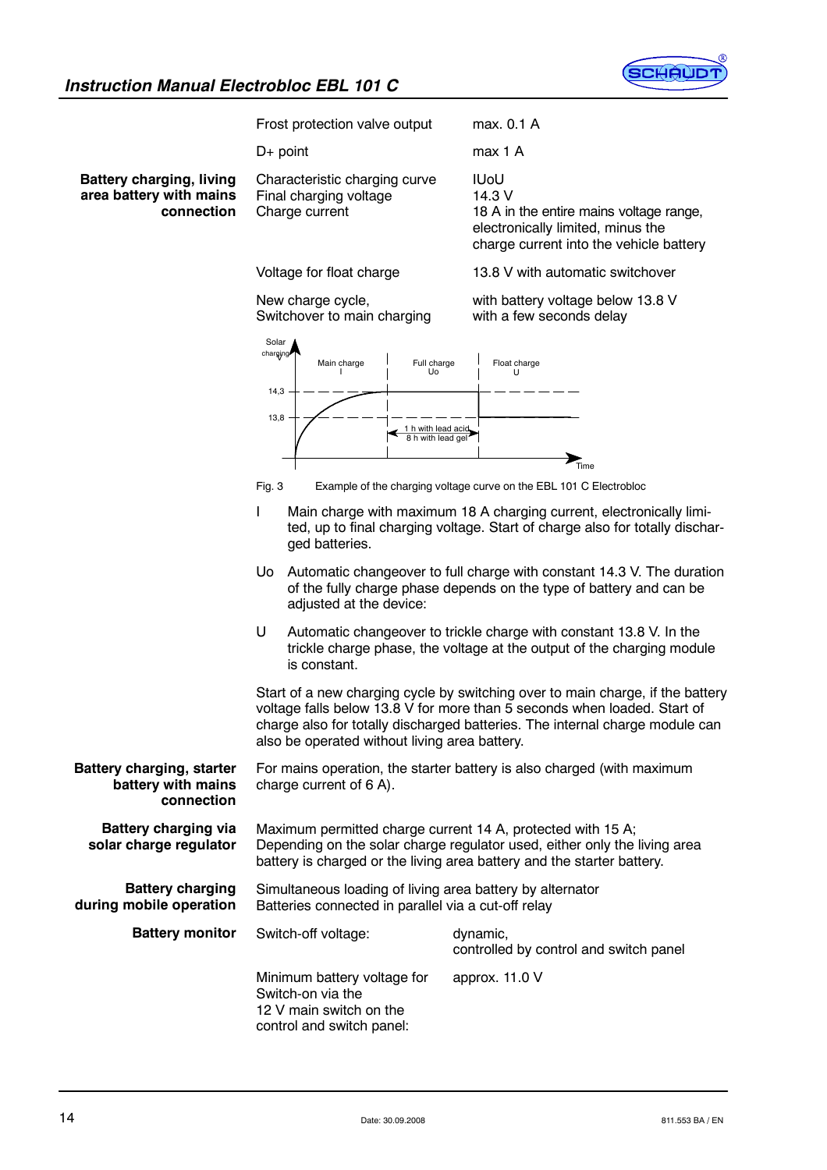

|                                                                          | Frost protection valve output                                                                                                                                                                                                                                                                                                                                                                                                                                                                                                                                                                                                   | max. 0.1 A                                                                                                                                                                                                                                 |
|--------------------------------------------------------------------------|---------------------------------------------------------------------------------------------------------------------------------------------------------------------------------------------------------------------------------------------------------------------------------------------------------------------------------------------------------------------------------------------------------------------------------------------------------------------------------------------------------------------------------------------------------------------------------------------------------------------------------|--------------------------------------------------------------------------------------------------------------------------------------------------------------------------------------------------------------------------------------------|
|                                                                          | $D+$ point                                                                                                                                                                                                                                                                                                                                                                                                                                                                                                                                                                                                                      | max 1 A                                                                                                                                                                                                                                    |
| <b>Battery charging, living</b><br>area battery with mains<br>connection | Characteristic charging curve<br>Final charging voltage<br>Charge current                                                                                                                                                                                                                                                                                                                                                                                                                                                                                                                                                       | <b>IUoU</b><br>14.3 V<br>18 A in the entire mains voltage range,<br>electronically limited, minus the<br>charge current into the vehicle battery                                                                                           |
|                                                                          | Voltage for float charge                                                                                                                                                                                                                                                                                                                                                                                                                                                                                                                                                                                                        | 13.8 V with automatic switchover                                                                                                                                                                                                           |
|                                                                          | New charge cycle,<br>Switchover to main charging                                                                                                                                                                                                                                                                                                                                                                                                                                                                                                                                                                                | with battery voltage below 13.8 V<br>with a few seconds delay                                                                                                                                                                              |
|                                                                          | Solar<br>charging<br>Main charge<br>Full charge<br>Uo<br>14,3                                                                                                                                                                                                                                                                                                                                                                                                                                                                                                                                                                   | Float charge<br>U                                                                                                                                                                                                                          |
|                                                                          | 13,8<br>1 h with lead acid<br>8 h with lead gel                                                                                                                                                                                                                                                                                                                                                                                                                                                                                                                                                                                 |                                                                                                                                                                                                                                            |
|                                                                          |                                                                                                                                                                                                                                                                                                                                                                                                                                                                                                                                                                                                                                 | $T$ ime                                                                                                                                                                                                                                    |
|                                                                          | Fig. 3<br>Example of the charging voltage curve on the EBL 101 C Electrobloc<br>$\mathbf{I}$<br>Main charge with maximum 18 A charging current, electronically limi-<br>ted, up to final charging voltage. Start of charge also for totally dischar-<br>ged batteries.<br>Automatic changeover to full charge with constant 14.3 V. The duration<br>Uo.<br>of the fully charge phase depends on the type of battery and can be<br>adjusted at the device:<br>U<br>Automatic changeover to trickle charge with constant 13.8 V. In the<br>trickle charge phase, the voltage at the output of the charging module<br>is constant. |                                                                                                                                                                                                                                            |
|                                                                          |                                                                                                                                                                                                                                                                                                                                                                                                                                                                                                                                                                                                                                 |                                                                                                                                                                                                                                            |
|                                                                          |                                                                                                                                                                                                                                                                                                                                                                                                                                                                                                                                                                                                                                 |                                                                                                                                                                                                                                            |
|                                                                          | also be operated without living area battery.                                                                                                                                                                                                                                                                                                                                                                                                                                                                                                                                                                                   | Start of a new charging cycle by switching over to main charge, if the battery<br>voltage falls below 13.8 V for more than 5 seconds when loaded. Start of<br>charge also for totally discharged batteries. The internal charge module can |
| <b>Battery charging, starter</b><br>battery with mains<br>connection     | For mains operation, the starter battery is also charged (with maximum<br>charge current of 6 A).                                                                                                                                                                                                                                                                                                                                                                                                                                                                                                                               |                                                                                                                                                                                                                                            |
| <b>Battery charging via</b><br>solar charge regulator                    | Maximum permitted charge current 14 A, protected with 15 A;<br>Depending on the solar charge regulator used, either only the living area<br>battery is charged or the living area battery and the starter battery.                                                                                                                                                                                                                                                                                                                                                                                                              |                                                                                                                                                                                                                                            |
| <b>Battery charging</b><br>during mobile operation                       | Simultaneous loading of living area battery by alternator<br>Batteries connected in parallel via a cut-off relay                                                                                                                                                                                                                                                                                                                                                                                                                                                                                                                |                                                                                                                                                                                                                                            |
| <b>Battery monitor</b>                                                   | Switch-off voltage:                                                                                                                                                                                                                                                                                                                                                                                                                                                                                                                                                                                                             | dynamic,<br>controlled by control and switch panel                                                                                                                                                                                         |
|                                                                          | Minimum battery voltage for<br>Switch-on via the<br>12 V main switch on the<br>control and switch panel:                                                                                                                                                                                                                                                                                                                                                                                                                                                                                                                        | approx. 11.0 V                                                                                                                                                                                                                             |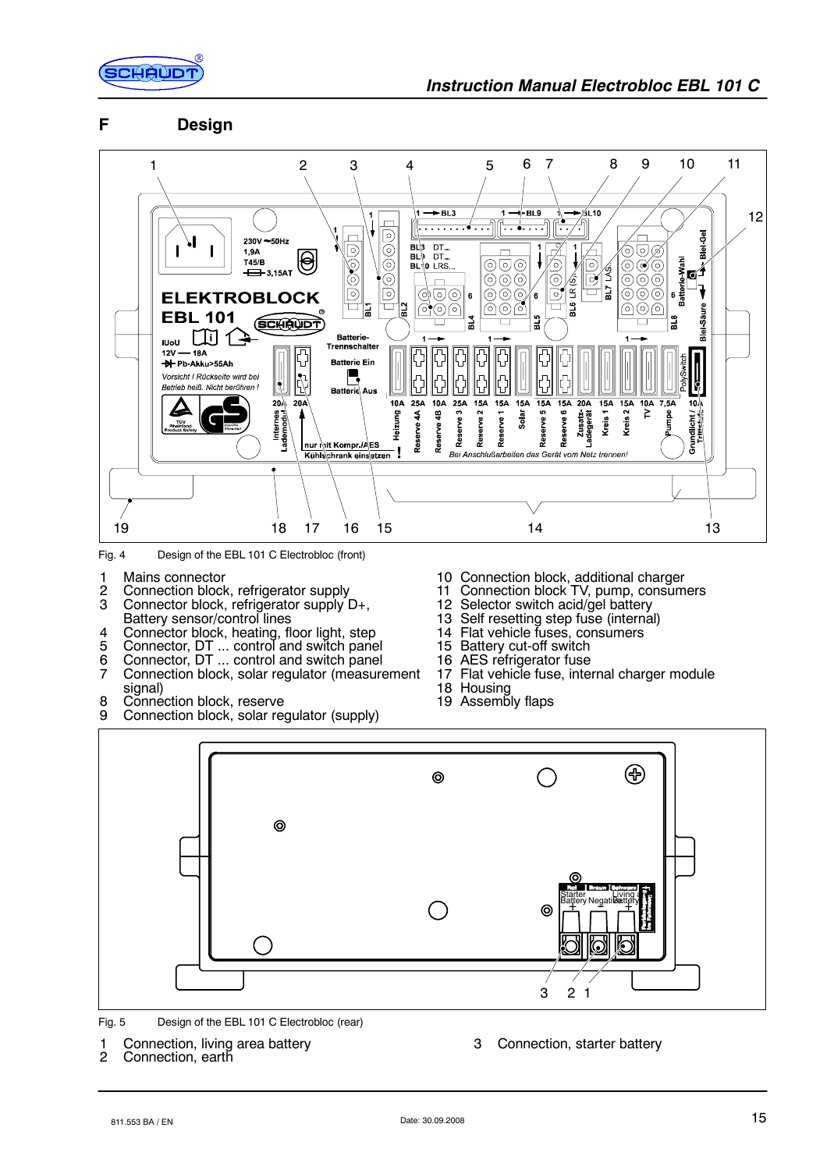

# **F Design**



Fig. 4 Design of the EBL 101 C Electrobloc (front)

- 1 Mains connector
- 2 Connection block, refrigerator supply<br>3 Connector block, refrigerator supply I
- Connector block, refrigerator supply D+, Battery sensor/control lines
- 4 Connector block, heating, floor light, step<br>5 Connector, DT ... control and switch pane
- 5 Connector, DT ... control and switch panel
- 6 Connector, DT ... control and switch panel
- 7 Connection block, solar regulator (measurement signal)
- 8 Connection block, reserve
- 9 Connection block, solar regulator (supply)
- 10 Connection block, additional charger
- 11 Connection block TV, pump, consumers
- 12 Selector switch acid/gel battery
- 13 Self resetting step fuse (internal)
- 14 Flat vehicle fuses, consumers
- 15 Battery cut-off switch<br>16 AES refrigerator fuse
- AES refrigerator fuse
- 17 Flat vehicle fuse, internal charger module
- 18 Housing
- 19 Assembly flaps



Fig. 5 Design of the EBL 101 C Electrobloc (rear)

1 Connection, living area battery<br>2 Connection, earth

Connection, earth

3 Connection, starter battery